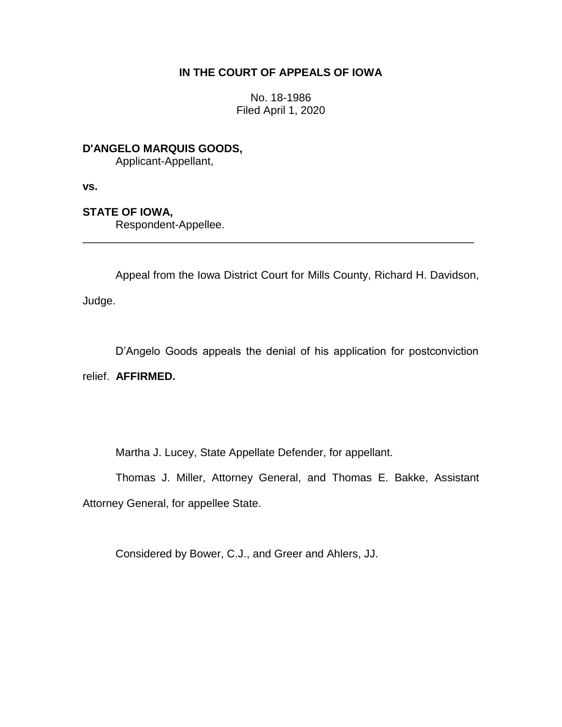# **IN THE COURT OF APPEALS OF IOWA**

No. 18-1986 Filed April 1, 2020

**D'ANGELO MARQUIS GOODS,** Applicant-Appellant,

**vs.**

## **STATE OF IOWA,**

Respondent-Appellee.

Appeal from the Iowa District Court for Mills County, Richard H. Davidson,

\_\_\_\_\_\_\_\_\_\_\_\_\_\_\_\_\_\_\_\_\_\_\_\_\_\_\_\_\_\_\_\_\_\_\_\_\_\_\_\_\_\_\_\_\_\_\_\_\_\_\_\_\_\_\_\_\_\_\_\_\_\_\_\_

Judge.

D'Angelo Goods appeals the denial of his application for postconviction relief. **AFFIRMED.**

Martha J. Lucey, State Appellate Defender, for appellant.

Thomas J. Miller, Attorney General, and Thomas E. Bakke, Assistant Attorney General, for appellee State.

Considered by Bower, C.J., and Greer and Ahlers, JJ.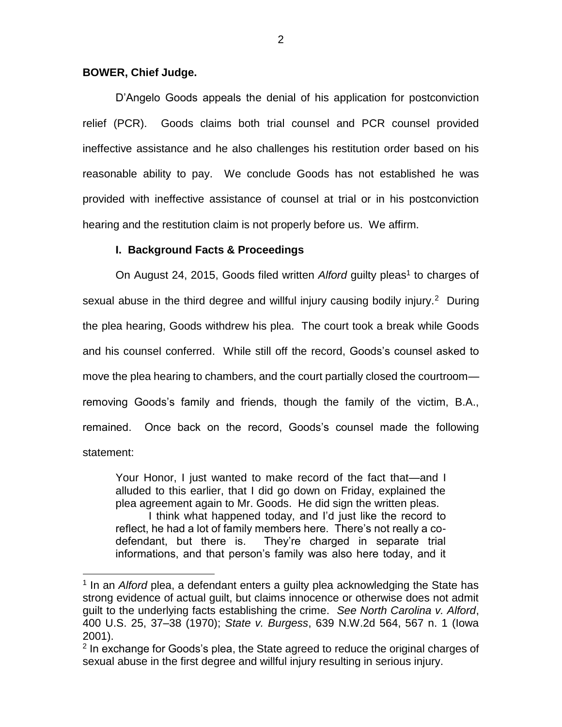### **BOWER, Chief Judge.**

 $\overline{a}$ 

D'Angelo Goods appeals the denial of his application for postconviction relief (PCR). Goods claims both trial counsel and PCR counsel provided ineffective assistance and he also challenges his restitution order based on his reasonable ability to pay. We conclude Goods has not established he was provided with ineffective assistance of counsel at trial or in his postconviction hearing and the restitution claim is not properly before us. We affirm.

## **I. Background Facts & Proceedings**

On August 24, 2015, Goods filed written Alford guilty pleas<sup>1</sup> to charges of sexual abuse in the third degree and willful injury causing bodily injury.<sup>2</sup> During the plea hearing, Goods withdrew his plea. The court took a break while Goods and his counsel conferred. While still off the record, Goods's counsel asked to move the plea hearing to chambers, and the court partially closed the courtroom removing Goods's family and friends, though the family of the victim, B.A., remained. Once back on the record, Goods's counsel made the following statement:

Your Honor, I just wanted to make record of the fact that—and I alluded to this earlier, that I did go down on Friday, explained the plea agreement again to Mr. Goods. He did sign the written pleas. I think what happened today, and I'd just like the record to reflect, he had a lot of family members here. There's not really a codefendant, but there is. They're charged in separate trial informations, and that person's family was also here today, and it

<sup>&</sup>lt;sup>1</sup> In an *Alford* plea, a defendant enters a guilty plea acknowledging the State has strong evidence of actual guilt, but claims innocence or otherwise does not admit guilt to the underlying facts establishing the crime. *See North Carolina v. Alford*, 400 U.S. 25, 37–38 (1970); *State v. Burgess*, 639 N.W.2d 564, 567 n. 1 (Iowa 2001).

<sup>&</sup>lt;sup>2</sup> In exchange for Goods's plea, the State agreed to reduce the original charges of sexual abuse in the first degree and willful injury resulting in serious injury.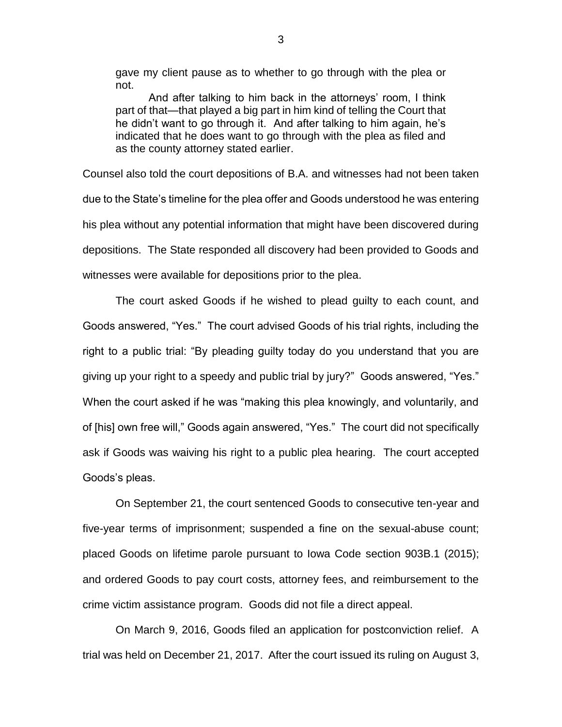gave my client pause as to whether to go through with the plea or not.

And after talking to him back in the attorneys' room, I think part of that—that played a big part in him kind of telling the Court that he didn't want to go through it. And after talking to him again, he's indicated that he does want to go through with the plea as filed and as the county attorney stated earlier.

Counsel also told the court depositions of B.A. and witnesses had not been taken due to the State's timeline for the plea offer and Goods understood he was entering his plea without any potential information that might have been discovered during depositions. The State responded all discovery had been provided to Goods and witnesses were available for depositions prior to the plea.

The court asked Goods if he wished to plead guilty to each count, and Goods answered, "Yes." The court advised Goods of his trial rights, including the right to a public trial: "By pleading guilty today do you understand that you are giving up your right to a speedy and public trial by jury?" Goods answered, "Yes." When the court asked if he was "making this plea knowingly, and voluntarily, and of [his] own free will," Goods again answered, "Yes." The court did not specifically ask if Goods was waiving his right to a public plea hearing. The court accepted Goods's pleas.

On September 21, the court sentenced Goods to consecutive ten-year and five-year terms of imprisonment; suspended a fine on the sexual-abuse count; placed Goods on lifetime parole pursuant to Iowa Code section 903B.1 (2015); and ordered Goods to pay court costs, attorney fees, and reimbursement to the crime victim assistance program. Goods did not file a direct appeal.

On March 9, 2016, Goods filed an application for postconviction relief. A trial was held on December 21, 2017. After the court issued its ruling on August 3,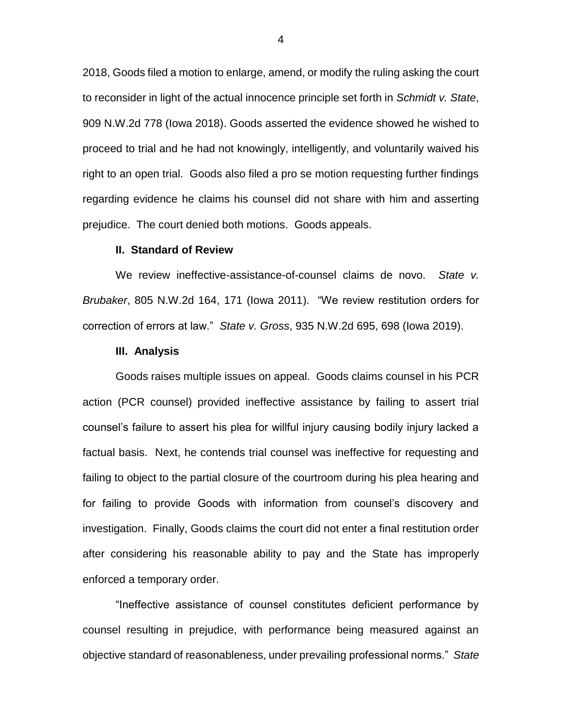2018, Goods filed a motion to enlarge, amend, or modify the ruling asking the court to reconsider in light of the actual innocence principle set forth in *Schmidt v. State*, 909 N.W.2d 778 (Iowa 2018). Goods asserted the evidence showed he wished to proceed to trial and he had not knowingly, intelligently, and voluntarily waived his right to an open trial. Goods also filed a pro se motion requesting further findings regarding evidence he claims his counsel did not share with him and asserting prejudice. The court denied both motions. Goods appeals.

#### **II. Standard of Review**

We review ineffective-assistance-of-counsel claims de novo. *State v. Brubaker*, 805 N.W.2d 164, 171 (Iowa 2011). "We review restitution orders for correction of errors at law." *State v. Gross*, 935 N.W.2d 695, 698 (Iowa 2019).

#### **III. Analysis**

Goods raises multiple issues on appeal. Goods claims counsel in his PCR action (PCR counsel) provided ineffective assistance by failing to assert trial counsel's failure to assert his plea for willful injury causing bodily injury lacked a factual basis. Next, he contends trial counsel was ineffective for requesting and failing to object to the partial closure of the courtroom during his plea hearing and for failing to provide Goods with information from counsel's discovery and investigation. Finally, Goods claims the court did not enter a final restitution order after considering his reasonable ability to pay and the State has improperly enforced a temporary order.

"Ineffective assistance of counsel constitutes deficient performance by counsel resulting in prejudice, with performance being measured against an objective standard of reasonableness, under prevailing professional norms." *State*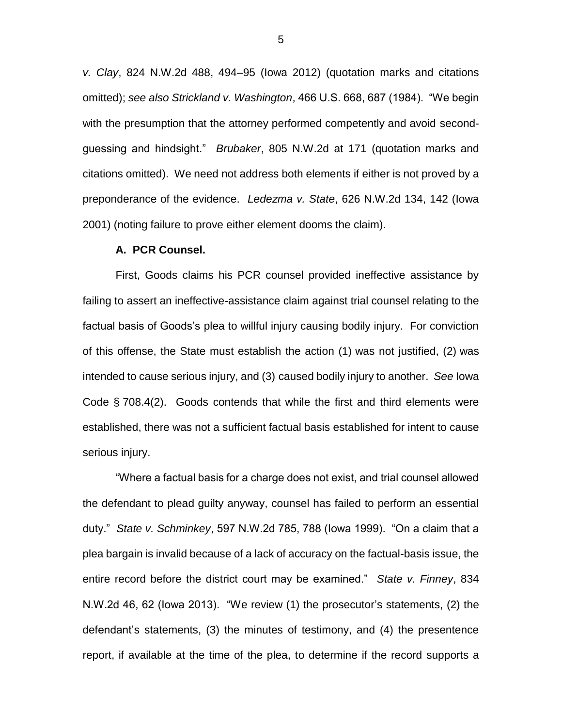*v. Clay*, 824 N.W.2d 488, 494–95 (Iowa 2012) (quotation marks and citations omitted); *see also Strickland v. Washington*, 466 U.S. 668, 687 (1984). "We begin with the presumption that the attorney performed competently and avoid secondguessing and hindsight." *Brubaker*, 805 N.W.2d at 171 (quotation marks and citations omitted). We need not address both elements if either is not proved by a preponderance of the evidence. *Ledezma v. State*, 626 N.W.2d 134, 142 (Iowa 2001) (noting failure to prove either element dooms the claim).

## **A. PCR Counsel.**

First, Goods claims his PCR counsel provided ineffective assistance by failing to assert an ineffective-assistance claim against trial counsel relating to the factual basis of Goods's plea to willful injury causing bodily injury. For conviction of this offense, the State must establish the action (1) was not justified, (2) was intended to cause serious injury, and (3) caused bodily injury to another. *See* Iowa Code § 708.4(2). Goods contends that while the first and third elements were established, there was not a sufficient factual basis established for intent to cause serious injury.

"Where a factual basis for a charge does not exist, and trial counsel allowed the defendant to plead guilty anyway, counsel has failed to perform an essential duty." *State v. Schminkey*, 597 N.W.2d 785, 788 (Iowa 1999). "On a claim that a plea bargain is invalid because of a lack of accuracy on the factual-basis issue, the entire record before the district court may be examined." *State v. Finney*, 834 N.W.2d 46, 62 (Iowa 2013). "We review (1) the prosecutor's statements, (2) the defendant's statements, (3) the minutes of testimony, and (4) the presentence report, if available at the time of the plea, to determine if the record supports a

5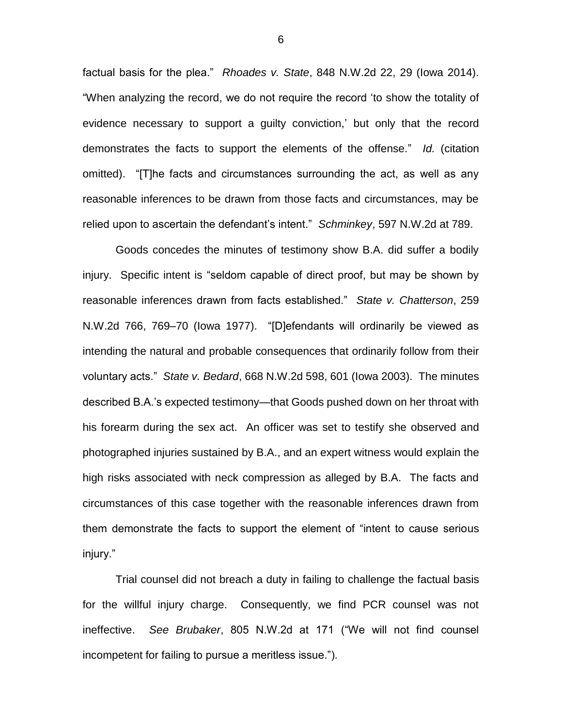factual basis for the plea." *Rhoades v. State*, 848 N.W.2d 22, 29 (Iowa 2014). "When analyzing the record, we do not require the record 'to show the totality of evidence necessary to support a guilty conviction,' but only that the record demonstrates the facts to support the elements of the offense." *Id.* (citation omitted)."[T]he facts and circumstances surrounding the act, as well as any reasonable inferences to be drawn from those facts and circumstances, may be relied upon to ascertain the defendant's intent." *Schminkey*, 597 N.W.2d at 789.

Goods concedes the minutes of testimony show B.A. did suffer a bodily injury. Specific intent is "seldom capable of direct proof, but may be shown by reasonable inferences drawn from facts established." *State v. Chatterson*, 259 N.W.2d 766, 769–70 (Iowa 1977). "[D]efendants will ordinarily be viewed as intending the natural and probable consequences that ordinarily follow from their voluntary acts." *State v. Bedard*, 668 N.W.2d 598, 601 (Iowa 2003). The minutes described B.A.'s expected testimony—that Goods pushed down on her throat with his forearm during the sex act. An officer was set to testify she observed and photographed injuries sustained by B.A., and an expert witness would explain the high risks associated with neck compression as alleged by B.A. The facts and circumstances of this case together with the reasonable inferences drawn from them demonstrate the facts to support the element of "intent to cause serious injury."

Trial counsel did not breach a duty in failing to challenge the factual basis for the willful injury charge. Consequently, we find PCR counsel was not ineffective. *See Brubaker*, 805 N.W.2d at 171 ("We will not find counsel incompetent for failing to pursue a meritless issue.").

6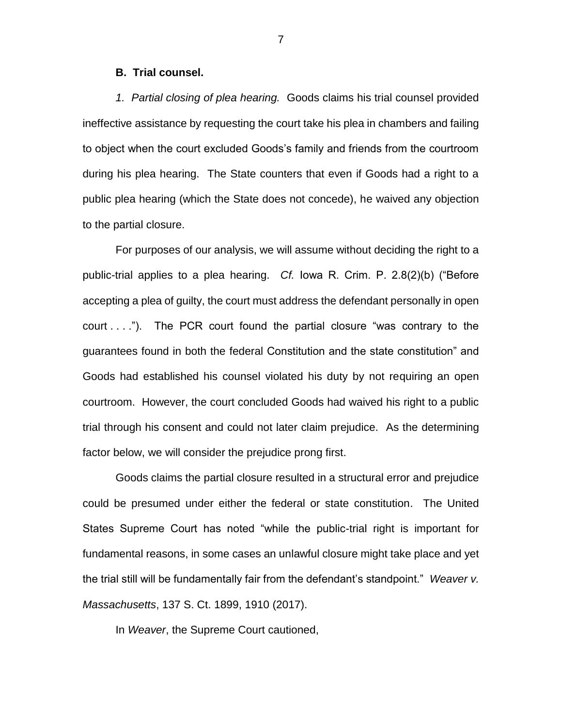#### **B. Trial counsel.**

*1. Partial closing of plea hearing.* Goods claims his trial counsel provided ineffective assistance by requesting the court take his plea in chambers and failing to object when the court excluded Goods's family and friends from the courtroom during his plea hearing. The State counters that even if Goods had a right to a public plea hearing (which the State does not concede), he waived any objection to the partial closure.

For purposes of our analysis, we will assume without deciding the right to a public-trial applies to a plea hearing. *Cf.* Iowa R. Crim. P. 2.8(2)(b) ("Before accepting a plea of guilty, the court must address the defendant personally in open court . . . ."). The PCR court found the partial closure "was contrary to the guarantees found in both the federal Constitution and the state constitution" and Goods had established his counsel violated his duty by not requiring an open courtroom. However, the court concluded Goods had waived his right to a public trial through his consent and could not later claim prejudice. As the determining factor below, we will consider the prejudice prong first.

Goods claims the partial closure resulted in a structural error and prejudice could be presumed under either the federal or state constitution. The United States Supreme Court has noted "while the public-trial right is important for fundamental reasons, in some cases an unlawful closure might take place and yet the trial still will be fundamentally fair from the defendant's standpoint." *Weaver v. Massachusetts*, 137 S. Ct. 1899, 1910 (2017).

In *Weaver*, the Supreme Court cautioned,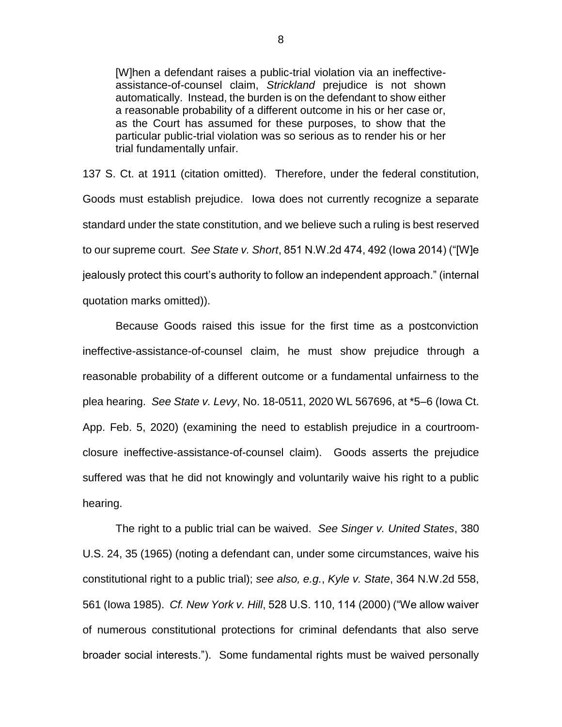[W]hen a defendant raises a public-trial violation via an ineffectiveassistance-of-counsel claim, *Strickland* prejudice is not shown automatically. Instead, the burden is on the defendant to show either a reasonable probability of a different outcome in his or her case or, as the Court has assumed for these purposes, to show that the particular public-trial violation was so serious as to render his or her trial fundamentally unfair.

137 S. Ct. at 1911 (citation omitted). Therefore, under the federal constitution, Goods must establish prejudice. Iowa does not currently recognize a separate standard under the state constitution, and we believe such a ruling is best reserved to our supreme court. *See State v. Short*, 851 N.W.2d 474, 492 (Iowa 2014) ("[W]e jealously protect this court's authority to follow an independent approach." (internal quotation marks omitted)).

Because Goods raised this issue for the first time as a postconviction ineffective-assistance-of-counsel claim, he must show prejudice through a reasonable probability of a different outcome or a fundamental unfairness to the plea hearing. *See State v. Levy*, No. 18-0511, 2020 WL 567696, at \*5–6 (Iowa Ct. App. Feb. 5, 2020) (examining the need to establish prejudice in a courtroomclosure ineffective-assistance-of-counsel claim). Goods asserts the prejudice suffered was that he did not knowingly and voluntarily waive his right to a public hearing.

The right to a public trial can be waived. *See Singer v. United States*, 380 U.S. 24, 35 (1965) (noting a defendant can, under some circumstances, waive his constitutional right to a public trial); *see also, e.g.*, *Kyle v. State*, 364 N.W.2d 558, 561 (Iowa 1985). *Cf. New York v. Hill*, 528 U.S. 110, 114 (2000) ("We allow waiver of numerous constitutional protections for criminal defendants that also serve broader social interests."). Some fundamental rights must be waived personally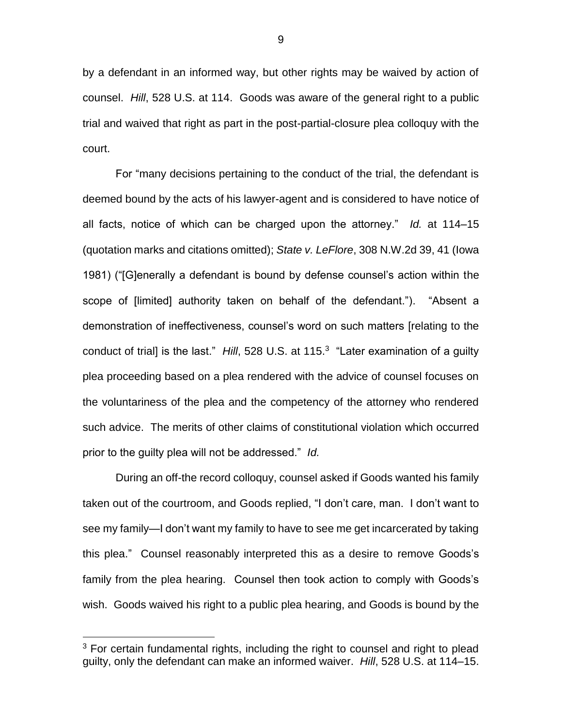by a defendant in an informed way, but other rights may be waived by action of counsel. *Hill*, 528 U.S. at 114. Goods was aware of the general right to a public trial and waived that right as part in the post-partial-closure plea colloquy with the court.

For "many decisions pertaining to the conduct of the trial, the defendant is deemed bound by the acts of his lawyer-agent and is considered to have notice of all facts, notice of which can be charged upon the attorney." *Id.* at 114–15 (quotation marks and citations omitted); *State v. LeFlore*, 308 N.W.2d 39, 41 (Iowa 1981) ("[G]enerally a defendant is bound by defense counsel's action within the scope of [limited] authority taken on behalf of the defendant."). "Absent a demonstration of ineffectiveness, counsel's word on such matters [relating to the conduct of trial] is the last." *Hill*, 528 U.S. at 115.<sup>3</sup> "Later examination of a guilty plea proceeding based on a plea rendered with the advice of counsel focuses on the voluntariness of the plea and the competency of the attorney who rendered such advice. The merits of other claims of constitutional violation which occurred prior to the guilty plea will not be addressed." *Id.*

During an off-the record colloquy, counsel asked if Goods wanted his family taken out of the courtroom, and Goods replied, "I don't care, man. I don't want to see my family—I don't want my family to have to see me get incarcerated by taking this plea." Counsel reasonably interpreted this as a desire to remove Goods's family from the plea hearing. Counsel then took action to comply with Goods's wish. Goods waived his right to a public plea hearing, and Goods is bound by the

 $\overline{a}$ 

<sup>&</sup>lt;sup>3</sup> For certain fundamental rights, including the right to counsel and right to plead guilty, only the defendant can make an informed waiver. *Hill*, 528 U.S. at 114–15.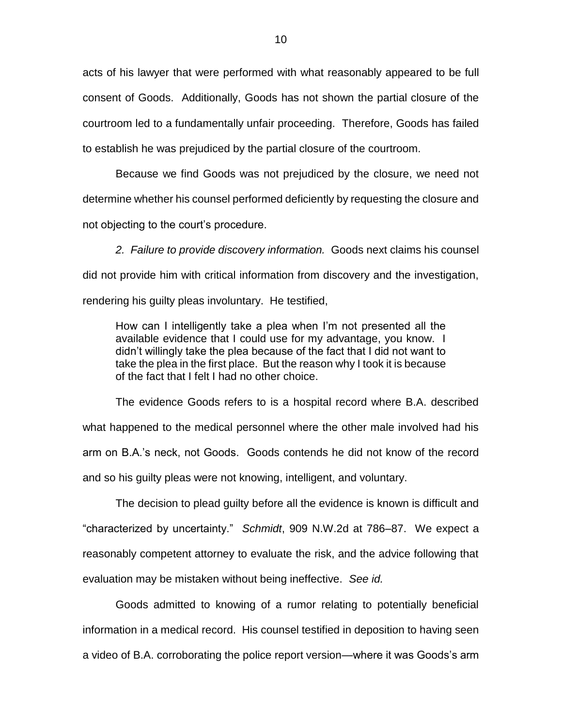acts of his lawyer that were performed with what reasonably appeared to be full consent of Goods. Additionally, Goods has not shown the partial closure of the courtroom led to a fundamentally unfair proceeding. Therefore, Goods has failed to establish he was prejudiced by the partial closure of the courtroom.

Because we find Goods was not prejudiced by the closure, we need not determine whether his counsel performed deficiently by requesting the closure and not objecting to the court's procedure.

*2. Failure to provide discovery information.* Goods next claims his counsel did not provide him with critical information from discovery and the investigation, rendering his guilty pleas involuntary. He testified,

How can I intelligently take a plea when I'm not presented all the available evidence that I could use for my advantage, you know. I didn't willingly take the plea because of the fact that I did not want to take the plea in the first place. But the reason why I took it is because of the fact that I felt I had no other choice.

The evidence Goods refers to is a hospital record where B.A. described what happened to the medical personnel where the other male involved had his arm on B.A.'s neck, not Goods. Goods contends he did not know of the record and so his guilty pleas were not knowing, intelligent, and voluntary.

The decision to plead guilty before all the evidence is known is difficult and "characterized by uncertainty." *Schmidt*, 909 N.W.2d at 786–87. We expect a reasonably competent attorney to evaluate the risk, and the advice following that evaluation may be mistaken without being ineffective. *See id.*

Goods admitted to knowing of a rumor relating to potentially beneficial information in a medical record. His counsel testified in deposition to having seen a video of B.A. corroborating the police report version—where it was Goods's arm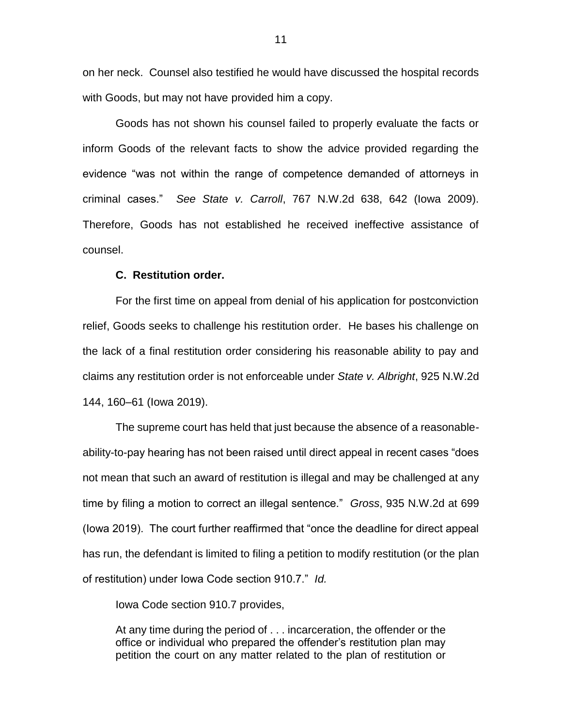on her neck. Counsel also testified he would have discussed the hospital records with Goods, but may not have provided him a copy.

Goods has not shown his counsel failed to properly evaluate the facts or inform Goods of the relevant facts to show the advice provided regarding the evidence "was not within the range of competence demanded of attorneys in criminal cases." *See State v. Carroll*, 767 N.W.2d 638, 642 (Iowa 2009). Therefore, Goods has not established he received ineffective assistance of counsel.

### **C. Restitution order.**

For the first time on appeal from denial of his application for postconviction relief, Goods seeks to challenge his restitution order. He bases his challenge on the lack of a final restitution order considering his reasonable ability to pay and claims any restitution order is not enforceable under *State v. Albright*, 925 N.W.2d 144, 160–61 (Iowa 2019).

The supreme court has held that just because the absence of a reasonableability-to-pay hearing has not been raised until direct appeal in recent cases "does not mean that such an award of restitution is illegal and may be challenged at any time by filing a motion to correct an illegal sentence." *Gross*, 935 N.W.2d at 699 (Iowa 2019). The court further reaffirmed that "once the deadline for direct appeal has run, the defendant is limited to filing a petition to modify restitution (or the plan of restitution) under Iowa Code section 910.7." *Id.*

Iowa Code section 910.7 provides,

At any time during the period of . . . incarceration, the offender or the office or individual who prepared the offender's restitution plan may petition the court on any matter related to the plan of restitution or